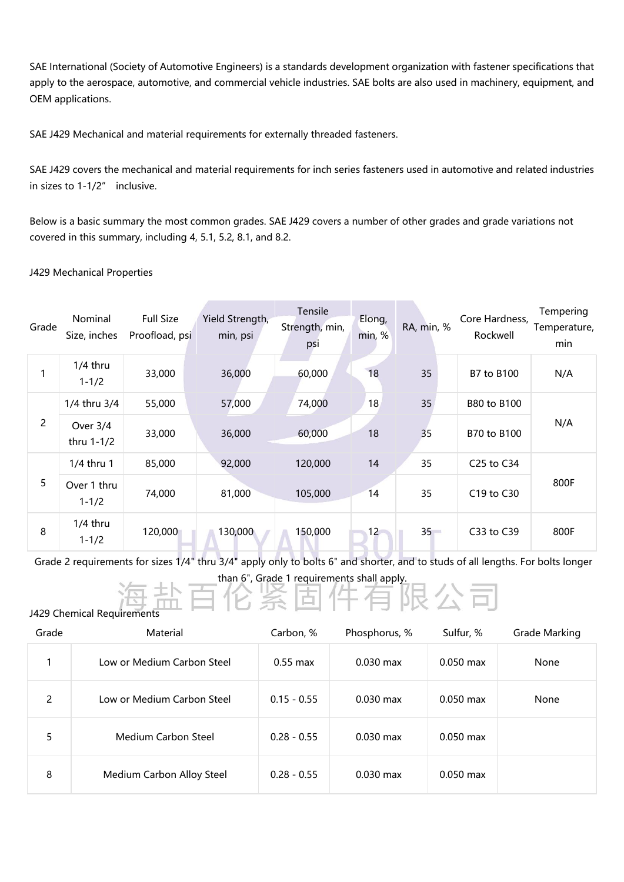SAE International (Society of Automotive Engineers) is a standards development organization with fastener specifications that apply to the aerospace, automotive, and commercial vehicle industries. SAE bolts are also used in machinery, equipment, and OEM applications.

SAE J429 Mechanical and material requirements for externally threaded fasteners.

SAE J429 covers the mechanical and material requirements for inch series fasteners used in automotive and related industries in sizes to 1-1/2" inclusive.

Below is a basic summary the most common grades. SAE J429 covers a number of other grades and grade variations not covered in this summary, including 4, 5.1, 5.2, 8.1, and 8.2.

## J429 Mechanical Properties

| Grade          | Nominal<br>Size, inches  | <b>Full Size</b><br>Proofload, psi | Yield Strength,<br>min, psi | Tensile<br>Strength, min,<br>psi | Elong,<br>min, % | RA, min, % | Core Hardness,<br>Rockwell | Tempering<br>Temperature,<br>min |
|----------------|--------------------------|------------------------------------|-----------------------------|----------------------------------|------------------|------------|----------------------------|----------------------------------|
|                | $1/4$ thru<br>$1 - 1/2$  | 33,000                             | 36,000                      | 60,000                           | 18               | 35         | B7 to B100                 | N/A                              |
| $\overline{2}$ | 1/4 thru 3/4             | 55,000                             | 57,000                      | 74,000                           | 18               | 35         | B80 to B100                |                                  |
|                | Over 3/4<br>thru 1-1/2   | 33,000                             | 36,000                      | 60,000                           | 18               | 35         | B70 to B100                | N/A                              |
| 5              | 1/4 thru 1               | 85,000                             | 92,000                      | 120,000                          | 14               | 35         | C25 to C34                 |                                  |
|                | Over 1 thru<br>$1 - 1/2$ | 74,000                             | 81,000                      | 105,000                          | 14               | 35         | C19 to C30                 | 800F                             |
| 8              | $1/4$ thru<br>$1 - 1/2$  | 120,000                            | 130,000                     | 150,000                          | 12               | $35 -$     | C33 to C39                 | 800F                             |

Grade 2 requirements for sizes 1/4" thru 3/4" apply only to bolts 6" and shorter, and to studs of all lengths. For bolts longer than 6", Grade 1 requirements shall apply.<br> **三化条固件有限公司** 

J429 Chemical Requirements

| Grade | Material                   | Carbon, %     | Phosphorus, % | Sulfur, %   | <b>Grade Marking</b> |
|-------|----------------------------|---------------|---------------|-------------|----------------------|
|       | Low or Medium Carbon Steel | $0.55$ max    | $0.030$ max   | $0.050$ max | None                 |
| 2     | Low or Medium Carbon Steel | $0.15 - 0.55$ | $0.030$ max   | $0.050$ max | None                 |
| 5     | Medium Carbon Steel        | $0.28 - 0.55$ | $0.030$ max   | $0.050$ max |                      |
| 8     | Medium Carbon Alloy Steel  | $0.28 - 0.55$ | $0.030$ max   | $0.050$ max |                      |